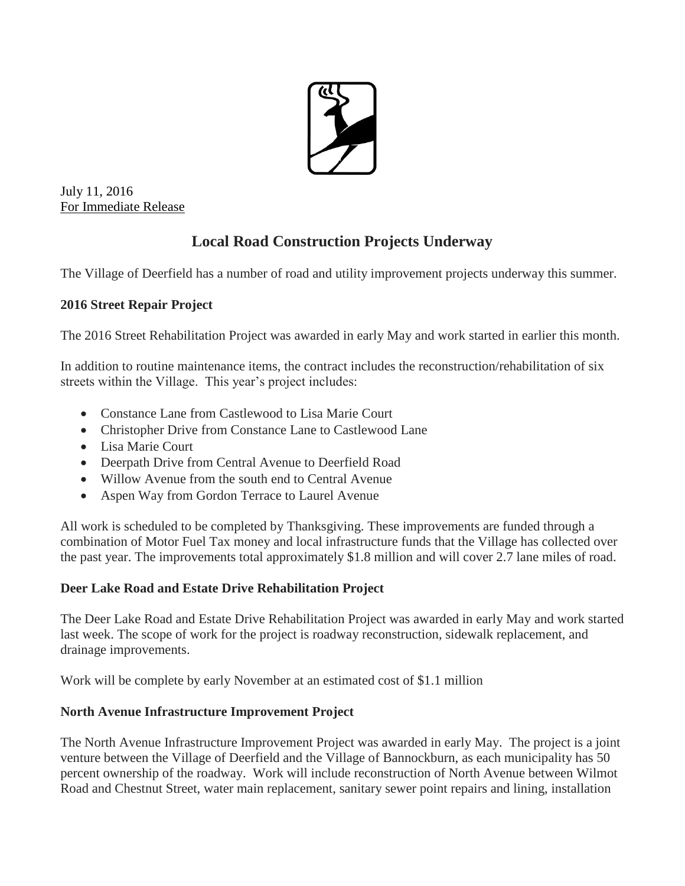

July 11, 2016 For Immediate Release

## **Local Road Construction Projects Underway**

The Village of Deerfield has a number of road and utility improvement projects underway this summer.

## **2016 Street Repair Project**

The 2016 Street Rehabilitation Project was awarded in early May and work started in earlier this month.

In addition to routine maintenance items, the contract includes the reconstruction/rehabilitation of six streets within the Village. This year's project includes:

- Constance Lane from Castlewood to Lisa Marie Court
- Christopher Drive from Constance Lane to Castlewood Lane
- Lisa Marie Court
- Deerpath Drive from Central Avenue to Deerfield Road
- Willow Avenue from the south end to Central Avenue
- Aspen Way from Gordon Terrace to Laurel Avenue

All work is scheduled to be completed by Thanksgiving. These improvements are funded through a combination of Motor Fuel Tax money and local infrastructure funds that the Village has collected over the past year. The improvements total approximately \$1.8 million and will cover 2.7 lane miles of road.

## **Deer Lake Road and Estate Drive Rehabilitation Project**

The Deer Lake Road and Estate Drive Rehabilitation Project was awarded in early May and work started last week. The scope of work for the project is roadway reconstruction, sidewalk replacement, and drainage improvements.

Work will be complete by early November at an estimated cost of \$1.1 million

## **North Avenue Infrastructure Improvement Project**

The North Avenue Infrastructure Improvement Project was awarded in early May. The project is a joint venture between the Village of Deerfield and the Village of Bannockburn, as each municipality has 50 percent ownership of the roadway. Work will include reconstruction of North Avenue between Wilmot Road and Chestnut Street, water main replacement, sanitary sewer point repairs and lining, installation